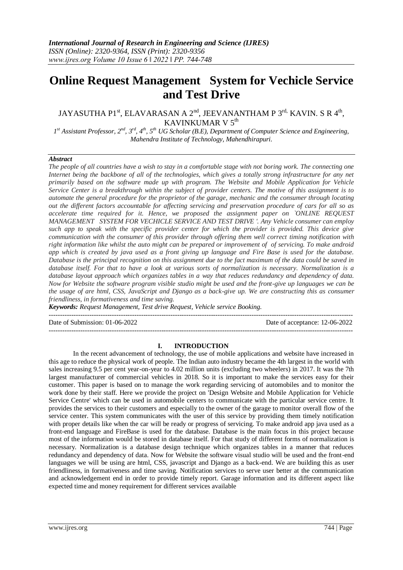# **Online Request Management System for Vechicle Service and Test Drive**

# JAYASUTHA P1<sup>st</sup>, ELAVARASAN A 2<sup>nd</sup>, JEEVANANTHAM P 3<sup>rd,</sup> KAVIN. S R 4<sup>th</sup>, KAVINKUMAR V 5<sup>th</sup>

*1 st Assistant Professor, 2nd, 3rd, 4th, 5th UG Scholar (B.E), Department of Computer Science and Engineering, Mahendra Institute of Technology, Mahendhirapuri.*

#### *Abstract*

*The people of all countries have a wish to stay in a comfortable stage with not boring work. The connecting one Internet being the backbone of all of the technologies, which gives a totally strong infrastructure for any net primarily based on the software made up with program. The Website and Mobile Application for Vehicle Service Center is a breakthrough within the subject of provider centers. The motive of this assignment is to automate the general procedure for the proprietor of the garage, mechanic and the consumer through locating out the different factors accountable for affecting servicing and preservation procedure of cars for all so as accelerate time required for it. Hence, we proposed the assignment paper on `ONLINE REQUEST MANAGEMENT SYSTEM FOR VECHICLE SERVICE AND TEST DRIVE '. Any Vehicle consumer can employ such app to speak with the specific provider center for which the provider is provided. This device give communication with the consumer of this provider through offering them well correct timing notification with right information like whilst the auto might can be prepared or improvement of of servicing. To make android app which is created by java used as a front giving up language and Fire Base is used for the database. Database is the principal recognition on this assignment due to the fact maximum of the data could be saved in database itself. For that to have a look at various sorts of normalization is necessary. Normalization is a database layout approach which organizes tables in a way that reduces redundancy and dependency of data. Now for Website the software program visible studio might be used and the front-give up languages we can be the usage of are html, CSS, JavaScript and Django as a back-give up. We are constructing this as consumer friendliness, in formativeness and time saving.*

*Keywords: Request Management, Test drive Request, Vehicle service Booking.*

---------------------------------------------------------------------------------------------------------------------------------------

Date of Submission: 01-06-2022 Date of acceptance: 12-06-2022

---------------------------------------------------------------------------------------------------------------------------------------

## **I. INTRODUCTION**

In the recent advancement of technology, the use of mobile applications and website have increased in this age to reduce the physical work of people. The Indian auto industry became the 4th largest in the world with sales increasing 9.5 per cent year-on-year to 4.02 million units (excluding two wheelers) in 2017. It was the 7th largest manufacturer of commercial vehicles in 2018. So it is important to make the services easy for their customer. This paper is based on to manage the work regarding servicing of automobiles and to monitor the work done by their staff. Here we provide the project on 'Design Website and Mobile Application for Vehicle Service Centre' which can be used in automobile centers to communicate with the particular service centre. It provides the services to their customers and especially to the owner of the garage to monitor overall flow of the service center. This system communicates with the user of this service by providing them timely notification with proper details like when the car will be ready or progress of servicing. To make android app java used as a front-end language and FireBase is used for the database. Database is the main focus in this project because most of the information would be stored in database itself. For that study of different forms of normalization is necessary. Normalization is a database design technique which organizes tables in a manner that reduces redundancy and dependency of data. Now for Website the software visual studio will be used and the front-end languages we will be using are html, CSS, javascript and Django as a back-end. We are building this as user friendliness, in formativeness and time saving. Notification services to serve user better at the communication and acknowledgement end in order to provide timely report. Garage information and its different aspect like expected time and money requirement for different services available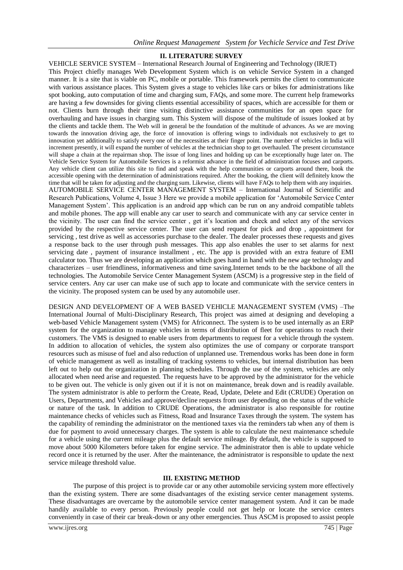#### **II. LITERATURE SURVEY**

VEHICLE SERVICE SYSTEM – International Research Journal of Engineering and Technology (IRJET) This Project chiefly manages Web Development System which is on vehicle Service System in a changed manner. It is a site that is viable on PC, mobile or portable. This framework permits the client to communicate with various assistance places. This System gives a stage to vehicles like cars or bikes for administrations like spot booking, auto computation of time and charging sum, FAQs, and some more. The current help frameworks are having a few downsides for giving clients essential accessibility of spaces, which are accessible for them or not. Clients burn through their time visiting distinctive assistance communities for an open space for overhauling and have issues in charging sum. This System will dispose of the multitude of issues looked at by the clients and tackle them. The Web will in general be the foundation of the multitude of advances. As we are moving towards the innovation driving age, the force of innovation is offering wings to individuals not exclusively to get to innovation yet additionally to satisfy every one of the necessities at their finger point. The number of vehicles in India will increment presently, it will expand the number of vehicles at the technician shop to get overhauled. The present circumstance will shape a chain at the repairman shop. The issue of long lines and holding up can be exceptionally huge later on. The Vehicle Service System for Automobile Services is a reformist advance in the field of administration focuses and carports. Any vehicle client can utilize this site to find and speak with the help communities or carports around there, book the accessible opening with the determination of administrations required. After the booking, the client will definitely know the time that will be taken for adjusting and the charging sum. Likewise, clients will have FAQs to help them with any inquiries. AUTOMOBILE SERVICE CENTER MANAGEMENT SYSTEM – International Journal of Scientific and Research Publications, Volume 4, Issue 3 Here we provide a mobile application for 'Automobile Service Center Management System'. This application is an android app which can be run on any android compatible tablets and mobile phones. The app will enable any car user to search and communicate with any car service center in the vicinity. The user can find the service center , get it's location and check and select any of the services provided by the respective service center. The user can send request for pick and drop , appointment for servicing , test drive as well as accessories purchase to the dealer. The dealer processes these requests and gives a response back to the user through push messages. This app also enables the user to set alarms for next servicing date , payment of insurance installment , etc. The app is provided with an extra feature of EMI calculator too. Thus we are developing an application which goes hand in hand with the new age technology and characterizes – user friendliness, informativeness and time saving.Internet tends to be the backbone of all the technologies. The Automobile Service Center Management System (ASCM) is a progressive step in the field of service centers. Any car user can make use of such app to locate and communicate with the service centers in the vicinity. The proposed system can be used by any automobile user.

DESIGN AND DEVELOPMENT OF A WEB BASED VEHICLE MANAGEMENT SYSTEM (VMS) –The International Journal of Multi-Disciplinary Research, This project was aimed at designing and developing a web-based Vehicle Management system (VMS) for Africonnect. The system is to be used internally as an ERP system for the organization to manage vehicles in terms of distribution of fleet for operations to reach their customers. The VMS is designed to enable users from departments to request for a vehicle through the system. In addition to allocation of vehicles, the system also optimizes the use of company or corporate transport resources such as misuse of fuel and also reduction of unplanned use. Tremendous works has been done in form of vehicle management as well as installing of tracking systems to vehicles, but internal distribution has been left out to help out the organization in planning schedules. Through the use of the system, vehicles are only allocated when need arise and requested. The requests have to be approved by the administrator for the vehicle to be given out. The vehicle is only given out if it is not on maintenance, break down and is readily available. The system administrator is able to perform the Create, Read, Update, Delete and Edit (CRUDE) Operation on Users, Departments, and Vehicles and approve/decline requests from user depending on the status of the vehicle or nature of the task. In addition to CRUDE Operations, the administrator is also responsible for routine maintenance checks of vehicles such as Fitness, Road and Insurance Taxes through the system. The system has the capability of reminding the administrator on the mentioned taxes via the reminders tab when any of them is due for payment to avoid unnecessary charges. The system is able to calculate the next maintenance schedule for a vehicle using the current mileage plus the default service mileage. By default, the vehicle is supposed to move about 5000 Kilometers before taken for engine service. The administrator then is able to update vehicle record once it is returned by the user. After the maintenance, the administrator is responsible to update the next service mileage threshold value.

## **III. EXISTING METHOD**

The purpose of this project is to provide car or any other automobile servicing system more effectively than the existing system. There are some disadvantages of the existing service center management systems. These disadvantages are overcame by the automobile service center management system. And it can be made handily available to every person. Previously people could not get help or locate the service centers conveniently in case of their car break-down or any other emergencies. Thus ASCM is proposed to assist people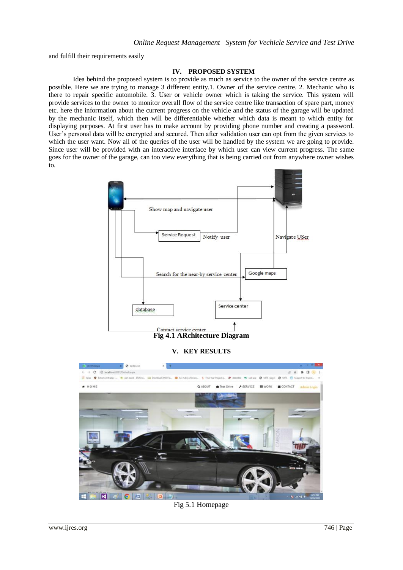and fulfill their requirements easily

## **IV. PROPOSED SYSTEM**

Idea behind the proposed system is to provide as much as service to the owner of the service centre as possible. Here we are trying to manage 3 different entity.1. Owner of the service centre. 2. Mechanic who is there to repair specific automobile. 3. User or vehicle owner which is taking the service. This system will provide services to the owner to monitor overall flow of the service centre like transaction of spare part, money etc. here the information about the current progress on the vehicle and the status of the garage will be updated by the mechanic itself, which then will be differentiable whether which data is meant to which entity for displaying purposes. At first user has to make account by providing phone number and creating a password. User's personal data will be encrypted and secured. Then after validation user can opt from the given services to which the user want. Now all of the queries of the user will be handled by the system we are going to provide. Since user will be provided with an interactive interface by which user can view current progress. The same goes for the owner of the garage, can too view everything that is being carried out from anywhere owner wishes to.



# **V. KEY RESULTS**



## Fig 5.1 Homepage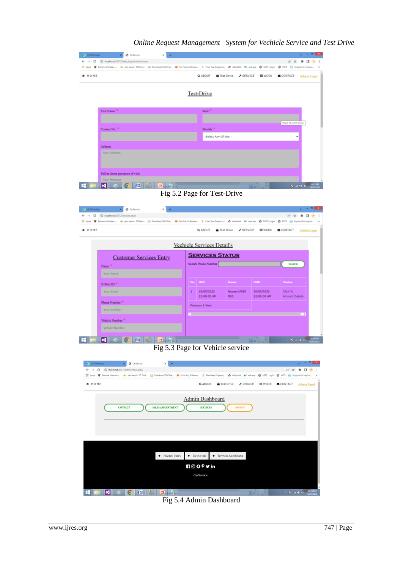

Fig 5.4 Admin Dashboard